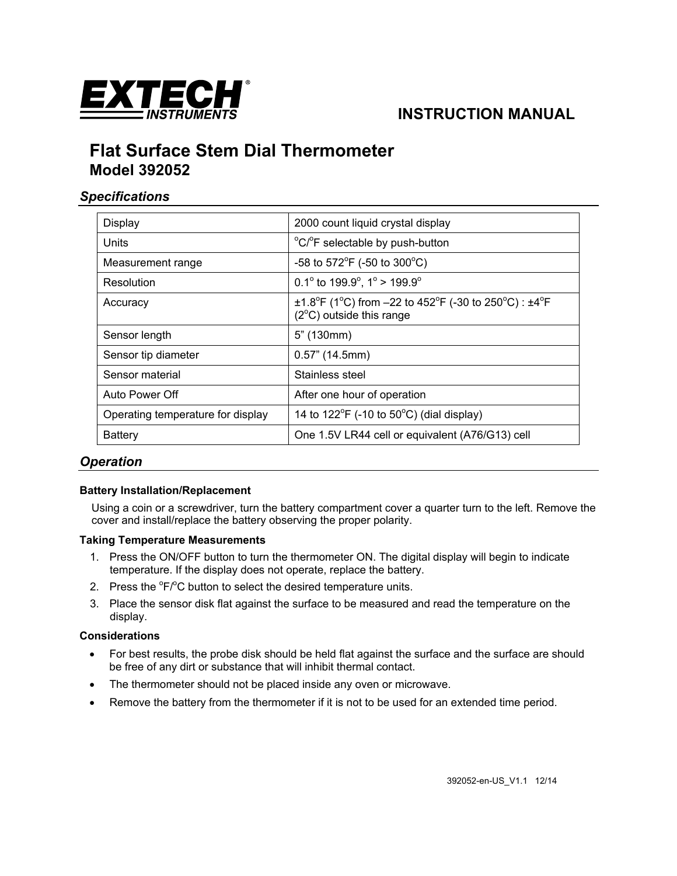

# **INSTRUCTION MANUAL**

# **Flat Surface Stem Dial Thermometer Model 392052**

### *Specifications*

| Display                           | 2000 count liquid crystal display                                                                                                                           |
|-----------------------------------|-------------------------------------------------------------------------------------------------------------------------------------------------------------|
| Units                             | °C/°F selectable by push-button                                                                                                                             |
| Measurement range                 | -58 to 572°F (-50 to 300°C)                                                                                                                                 |
| Resolution                        | 0.1° to 199.9°, 1° > 199.9°                                                                                                                                 |
| Accuracy                          | $\pm$ 1.8 <sup>o</sup> F (1 <sup>o</sup> C) from -22 to 452 <sup>o</sup> F (-30 to 250 <sup>o</sup> C) : $\pm$ 4 <sup>o</sup> F<br>(2°C) outside this range |
| Sensor length                     | $5"$ (130mm)                                                                                                                                                |
| Sensor tip diameter               | $0.57$ " (14.5mm)                                                                                                                                           |
| Sensor material                   | Stainless steel                                                                                                                                             |
| Auto Power Off                    | After one hour of operation                                                                                                                                 |
| Operating temperature for display | 14 to $122^{\circ}F$ (-10 to $50^{\circ}C$ ) (dial display)                                                                                                 |
| Battery                           | One 1.5V LR44 cell or equivalent (A76/G13) cell                                                                                                             |

### *Operation*

#### **Battery Installation/Replacement**

Using a coin or a screwdriver, turn the battery compartment cover a quarter turn to the left. Remove the cover and install/replace the battery observing the proper polarity.

#### **Taking Temperature Measurements**

- 1. Press the ON/OFF button to turn the thermometer ON. The digital display will begin to indicate temperature. If the display does not operate, replace the battery.
- 2. Press the  ${}^{0}F/{}^{0}C$  button to select the desired temperature units.
- 3. Place the sensor disk flat against the surface to be measured and read the temperature on the display.

#### **Considerations**

- For best results, the probe disk should be held flat against the surface and the surface are should be free of any dirt or substance that will inhibit thermal contact.
- The thermometer should not be placed inside any oven or microwave.
- Remove the battery from the thermometer if it is not to be used for an extended time period.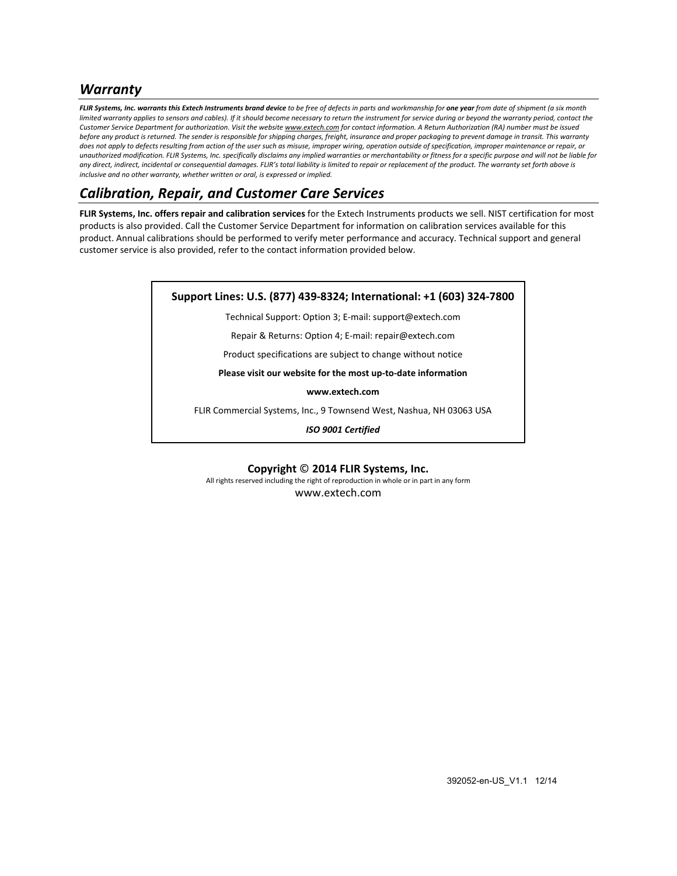### *Warranty*

FLIR Systems, Inc. warrants this Extech Instruments brand device to be free of defects in parts and workmanship for one year from date of shipment (a six month limited warranty applies to sensors and cables). If it should become necessary to return the instrument for service during or beyond the warranty period, contact the Customer Service Department for authorization. Visit the website www.extech.com for contact information. A Return Authorization (RA) number must be issued before any product is returned. The sender is responsible for shipping charges, freight, insurance and proper packaging to prevent damage in transit. This warranty does not apply to defects resulting from action of the user such as misuse, improper wiring, operation outside of specification, improper maintenance or repair, or unauthorized modification. FLIR Systems, Inc. specifically disclaims any implied warranties or merchantability or fitness for a specific purpose and will not be liable for any direct, indirect, incidental or consequential damages. FLIR's total liability is limited to repair or replacement of the product. The warranty set forth above is *inclusive and no other warranty, whether written or oral, is expressed or implied.*

## *Calibration, Repair, and Customer Care Services*

**FLIR Systems, Inc. offers repair and calibration services** for the Extech Instruments products we sell. NIST certification for most products is also provided. Call the Customer Service Department for information on calibration services available for this product. Annual calibrations should be performed to verify meter performance and accuracy. Technical support and general customer service is also provided, refer to the contact information provided below.

| Support Lines: U.S. (877) 439-8324; International: +1 (603) 324-7800 |  |
|----------------------------------------------------------------------|--|
| Technical Support: Option 3; E-mail: support@extech.com              |  |
| Repair & Returns: Option 4; E-mail: repair@extech.com                |  |
| Product specifications are subject to change without notice          |  |
| Please visit our website for the most up-to-date information         |  |
| www.extech.com                                                       |  |
| FLIR Commercial Systems, Inc., 9 Townsend West, Nashua, NH 03063 USA |  |
| <b>ISO 9001 Certified</b>                                            |  |

**Copyright** © **2014 FLIR Systems, Inc.**

All rights reserved including the right of reproduction in whole or in part in any form

www.extech.com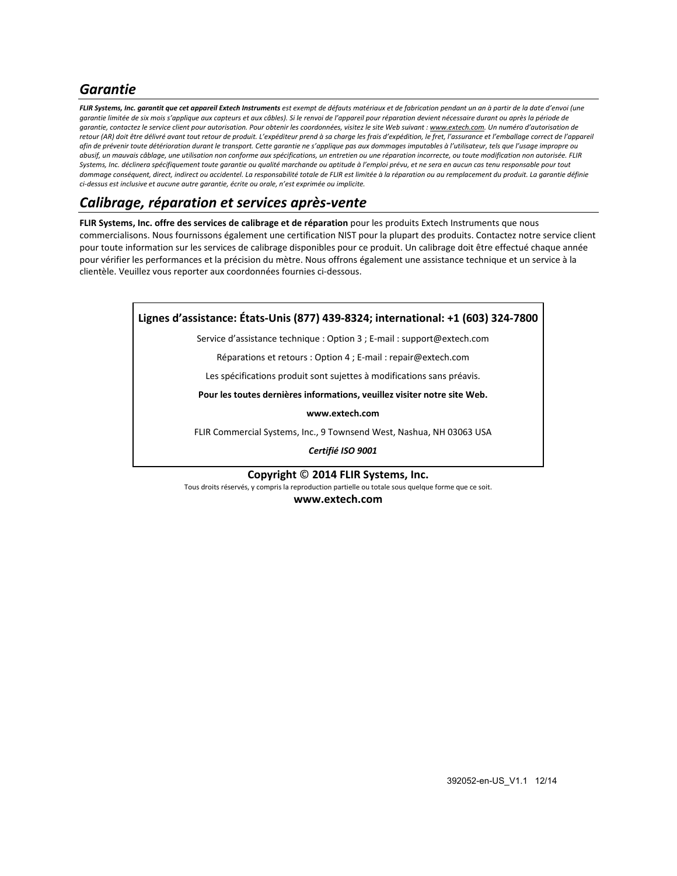## *Garantie*

FLIR Systems, Inc. garantit que cet appareil Extech Instruments est exempt de défauts matériaux et de fabrication pendant un an à partir de la date d'envoi (une garantie limitée de six mois s'applique aux capteurs et aux câbles). Si le renvoi de l'appareil pour réparation devient nécessaire durant ou après la période de garantie, contactez le service client pour autorisation. Pour obtenir les coordonnées, visitez le site Web suivant : www.extech.com. Un numéro d'autorisation de retour (AR) doit être délivré avant tout retour de produit. L'expéditeur prend à sa charge les frais d'expédition, le fret, l'assurance et l'emballage correct de l'appareil afin de prévenir toute détérioration durant le transport. Cette garantie ne s'applique pas aux dommages imputables à l'utilisateur, tels que l'usage impropre ou abusif, un mauvais câblage, une utilisation non conforme aux spécifications, un entretien ou une réparation incorrecte, ou toute modification non autorisée. FLIR Systems, Inc. déclinera spécifiquement toute garantie ou qualité marchande ou aptitude à l'emploi prévu, et ne sera en aucun cas tenu responsable pour tout dommage conséquent, direct, indirect ou accidentel. La responsabilité totale de FLIR est limitée à la réparation ou au remplacement du produit. La garantie définie *ci‐dessus est inclusive et aucune autre garantie, écrite ou orale, n'est exprimée ou implicite.*

### *Calibrage, réparation et services après‐vente*

**FLIR Systems, Inc. offre des services de calibrage et de réparation** pour les produits Extech Instruments que nous commercialisons. Nous fournissons également une certification NIST pour la plupart des produits. Contactez notre service client pour toute information sur les services de calibrage disponibles pour ce produit. Un calibrage doit être effectué chaque année pour vérifier les performances et la précision du mètre. Nous offrons également une assistance technique et un service à la clientèle. Veuillez vous reporter aux coordonnées fournies ci‐dessous.

### **Lignes d'assistance: États‐Unis (877) 439‐8324; international: +1 (603) 324‐7800**

Service d'assistance technique : Option 3 ; E‐mail : support@extech.com

Réparations et retours : Option 4 ; E‐mail : repair@extech.com

Les spécifications produit sont sujettes à modifications sans préavis.

**Pour les toutes dernières informations, veuillez visiter notre site Web.**

**www.extech.com**

FLIR Commercial Systems, Inc., 9 Townsend West, Nashua, NH 03063 USA

*Certifié ISO 9001*

#### **Copyright** © **2014 FLIR Systems, Inc.**

Tous droits réservés, y compris la reproduction partielle ou totale sous quelque forme que ce soit.

**www.extech.com**